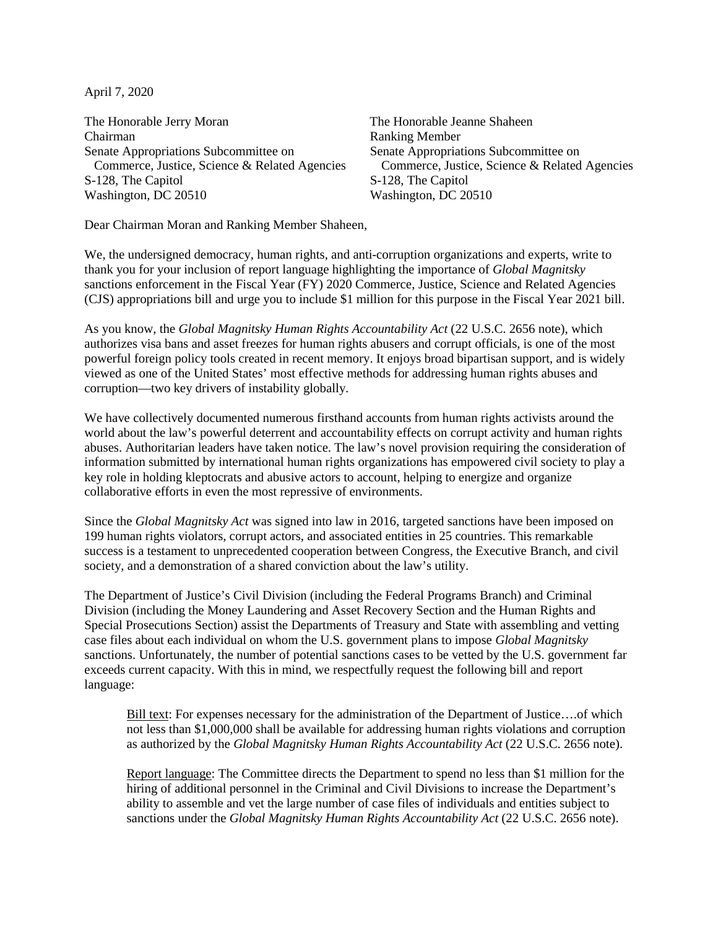April 7, 2020

The Honorable Jerry Moran The Honorable Jeanne Shaheen Chairman Ranking Member Senate Appropriations Subcommittee on Senate Appropriations Subcommittee on S-128, The Capitol Washington, DC 20510 Washington, DC 20510

Commerce, Justice, Science & Related Agencies Commerce, Justice, Science & Related Agencies<br>128, The Capitol S-128, The Capitol

Dear Chairman Moran and Ranking Member Shaheen,

We, the undersigned democracy, human rights, and anti-corruption organizations and experts, write to thank you for your inclusion of report language highlighting the importance of *Global Magnitsky* sanctions enforcement in the Fiscal Year (FY) 2020 Commerce, Justice, Science and Related Agencies (CJS) appropriations bill and urge you to include \$1 million for this purpose in the Fiscal Year 2021 bill.

As you know, the *Global Magnitsky Human Rights Accountability Act* (22 U.S.C. 2656 note), which authorizes visa bans and asset freezes for human rights abusers and corrupt officials, is one of the most powerful foreign policy tools created in recent memory. It enjoys broad bipartisan support, and is widely viewed as one of the United States' most effective methods for addressing human rights abuses and corruption—two key drivers of instability globally.

We have collectively documented numerous firsthand accounts from human rights activists around the world about the law's powerful deterrent and accountability effects on corrupt activity and human rights abuses. Authoritarian leaders have taken notice. The law's novel provision requiring the consideration of information submitted by international human rights organizations has empowered civil society to play a key role in holding kleptocrats and abusive actors to account, helping to energize and organize collaborative efforts in even the most repressive of environments.

Since the *Global Magnitsky Act* was signed into law in 2016, targeted sanctions have been imposed on 199 human rights violators, corrupt actors, and associated entities in 25 countries. This remarkable success is a testament to unprecedented cooperation between Congress, the Executive Branch, and civil society, and a demonstration of a shared conviction about the law's utility.

The Department of Justice's Civil Division (including the Federal Programs Branch) and Criminal Division (including the Money Laundering and Asset Recovery Section and the Human Rights and Special Prosecutions Section) assist the Departments of Treasury and State with assembling and vetting case files about each individual on whom the U.S. government plans to impose *Global Magnitsky* sanctions. Unfortunately, the number of potential sanctions cases to be vetted by the U.S. government far exceeds current capacity. With this in mind, we respectfully request the following bill and report language:

Bill text: For expenses necessary for the administration of the Department of Justice….of which not less than \$1,000,000 shall be available for addressing human rights violations and corruption as authorized by the *Global Magnitsky Human Rights Accountability Act* (22 U.S.C. 2656 note).

Report language: The Committee directs the Department to spend no less than \$1 million for the hiring of additional personnel in the Criminal and Civil Divisions to increase the Department's ability to assemble and vet the large number of case files of individuals and entities subject to sanctions under the *Global Magnitsky Human Rights Accountability Act* (22 U.S.C. 2656 note).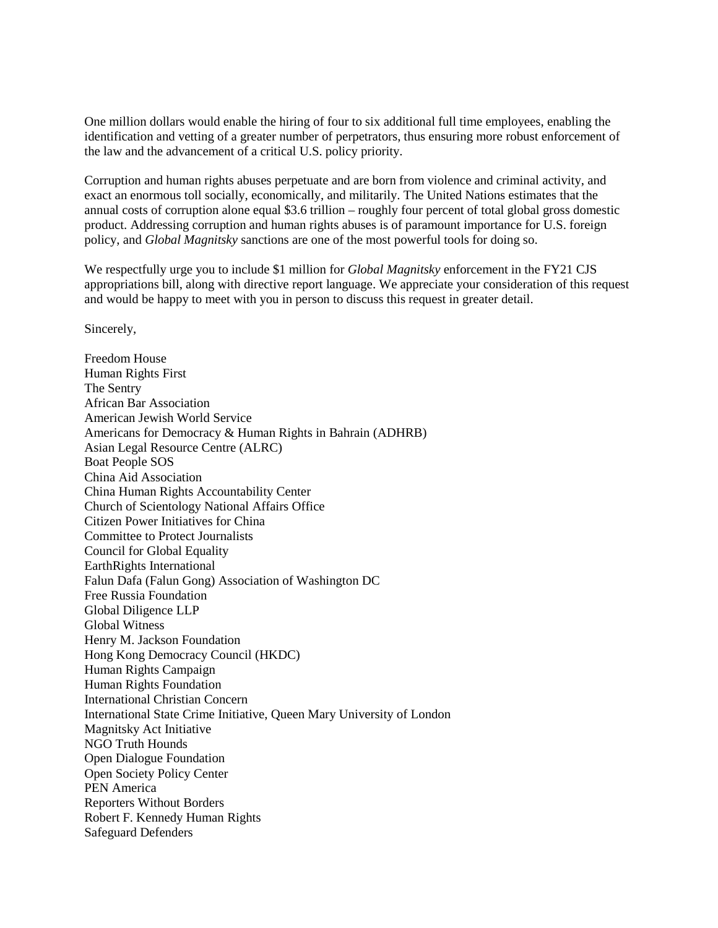One million dollars would enable the hiring of four to six additional full time employees, enabling the identification and vetting of a greater number of perpetrators, thus ensuring more robust enforcement of the law and the advancement of a critical U.S. policy priority.

Corruption and human rights abuses perpetuate and are born from violence and criminal activity, and exact an enormous toll socially, economically, and militarily. The United Nations estimates that the annual costs of corruption alone equal \$3.6 trillion – roughly four percent of total global gross domestic product. Addressing corruption and human rights abuses is of paramount importance for U.S. foreign policy, and *Global Magnitsky* sanctions are one of the most powerful tools for doing so.

We respectfully urge you to include \$1 million for *Global Magnitsky* enforcement in the FY21 CJS appropriations bill, along with directive report language. We appreciate your consideration of this request and would be happy to meet with you in person to discuss this request in greater detail.

Sincerely,

Freedom House Human Rights First The Sentry African Bar Association American Jewish World Service Americans for Democracy & Human Rights in Bahrain (ADHRB) Asian Legal Resource Centre (ALRC) Boat People SOS China Aid Association China Human Rights Accountability Center Church of Scientology National Affairs Office Citizen Power Initiatives for China Committee to Protect Journalists Council for Global Equality EarthRights International Falun Dafa (Falun Gong) Association of Washington DC Free Russia Foundation Global Diligence LLP Global Witness Henry M. Jackson Foundation Hong Kong Democracy Council (HKDC) Human Rights Campaign Human Rights Foundation International Christian Concern International State Crime Initiative, Queen Mary University of London Magnitsky Act Initiative NGO Truth Hounds Open Dialogue Foundation Open Society Policy Center PEN America Reporters Without Borders Robert F. Kennedy Human Rights Safeguard Defenders